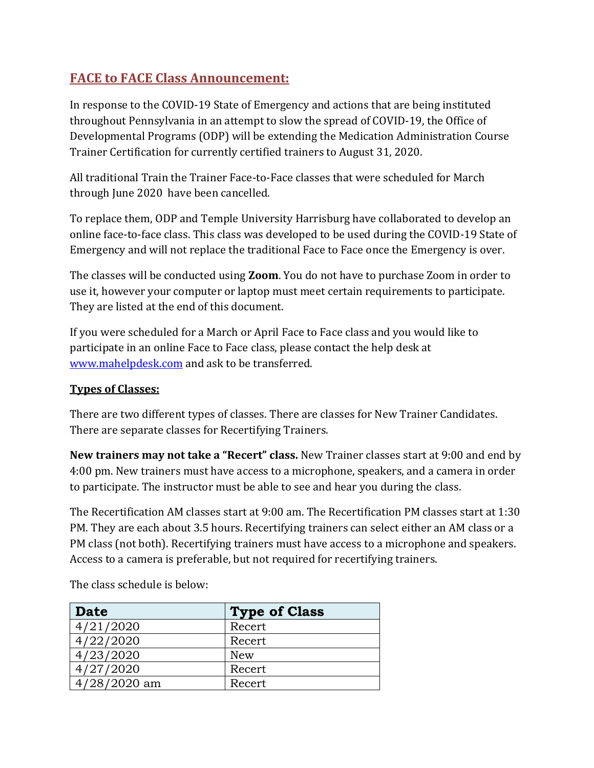# **FACE to FACE Class Announcement:**

In response to the COVID-19 State of Emergency and actions that are being instituted throughout Pennsylvania in an attempt to slow the spread of COVID-19, the Office of Developmental Programs (ODP) will be extending the Medication Administration Course Trainer Certification for currently certified trainers to August 31, 2020.

All traditional Train the Trainer Face-to-Face classes that were scheduled for March through June 2020 have been cancelled.

To replace them, ODP and Temple University Harrisburg have collaborated to develop an online face-to-face class. This class was developed to be used during the COVID-19 State of Emergency and will not replace the traditional Face to Face once the Emergency is over.

The classes will be conducted using **Zoom**. You do not have to purchase Zoom in order to use it, however your computer or laptop must meet certain requirements to participate. They are listed at the end of this document.

If you were scheduled for a March or April Face to Face class and you would like to participate in an online Face to Face class, please contact the help desk at [www.mahelpdesk.com](http://www.mahelpdesk.com/) and ask to be transferred.

## **Types of Classes:**

There are two different types of classes. There are classes for New Trainer Candidates. There are separate classes for Recertifying Trainers.

**New trainers may not take a "Recert" class.** New Trainer classes start at 9:00 and end by 4:00 pm. New trainers must have access to a microphone, speakers, and a camera in order to participate. The instructor must be able to see and hear you during the class.

The Recertification AM classes start at 9:00 am. The Recertification PM classes start at 1:30 PM. They are each about 3.5 hours. Recertifying trainers can select either an AM class or a PM class (not both). Recertifying trainers must have access to a microphone and speakers. Access to a camera is preferable, but not required for recertifying trainers.

**Date Type of Class** 4/21/2020 Recert 4/22/2020 Recert 4/23/2020 New 4/27/2020 Recert 4/28/2020 am Recert

The class schedule is below: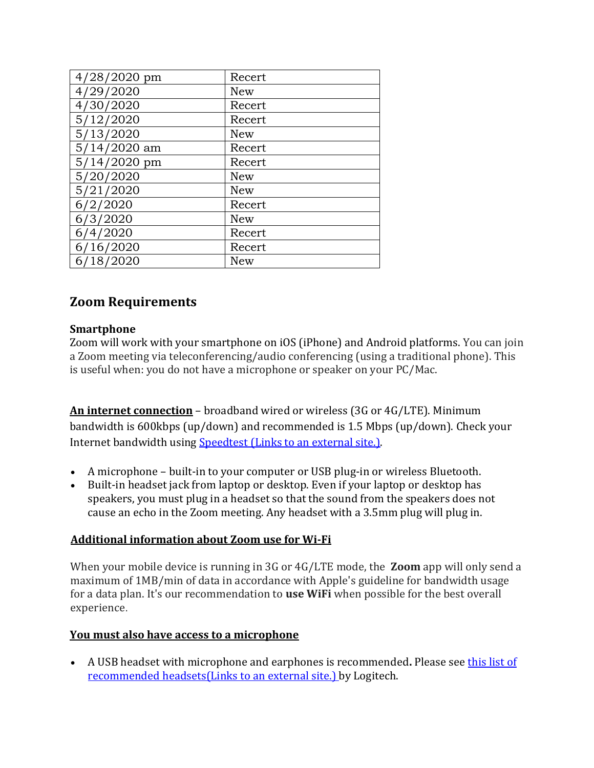| 4/28/2020 pm   | Recert     |
|----------------|------------|
| 4/29/2020      | New        |
| 4/30/2020      | Recert     |
| 5/12/2020      | Recert     |
| 5/13/2020      | New        |
| 5/14/2020 am   | Recert     |
| $5/14/2020$ pm | Recert     |
| 5/20/2020      | <b>New</b> |
| 5/21/2020      | <b>New</b> |
| 6/2/2020       | Recert     |
| 6/3/2020       | <b>New</b> |
| 6/4/2020       | Recert     |
| 6/16/2020      | Recert     |
| 18/2020<br>67  | New        |

# **Zoom Requirements**

## **Smartphone**

Zoom will work with your smartphone on iOS (iPhone) and Android platforms. You can join a Zoom meeting via teleconferencing/audio conferencing (using a traditional phone). This is useful when: you do not have a microphone or speaker on your PC/Mac.

**An internet connection** – broadband wired or wireless (3G or 4G/LTE). Minimum bandwidth is 600kbps (up/down) and recommended is 1.5 Mbps (up/down). Check your Internet bandwidth using [Speedtest](http://www.speedtest.net/) (Links to an external site.).

- A microphone built-in to your computer or USB plug-in or wireless Bluetooth.
- Built-in headset jack from laptop or desktop. Even if your laptop or desktop has speakers, you must plug in a headset so that the sound from the speakers does not cause an echo in the Zoom meeting. Any headset with a 3.5mm plug will plug in.

## **Additional information about Zoom use for Wi-Fi**

When your mobile device is running in 3G or 4G/LTE mode, the **Zoom** app will only send a maximum of 1MB/min of data in accordance with Apple's guideline for bandwidth usage for a data plan. It's our recommendation to **use WiFi** when possible for the best overall experience.

#### **You must also have access to a microphone**

• A USB headset with microphone and earphones is recommended**.** Please see [this list of](http://www.logitech.com/en-us/headsets?filters=3499)  [recommended headsets\(Links](http://www.logitech.com/en-us/headsets?filters=3499) to an external site.) by Logitech.